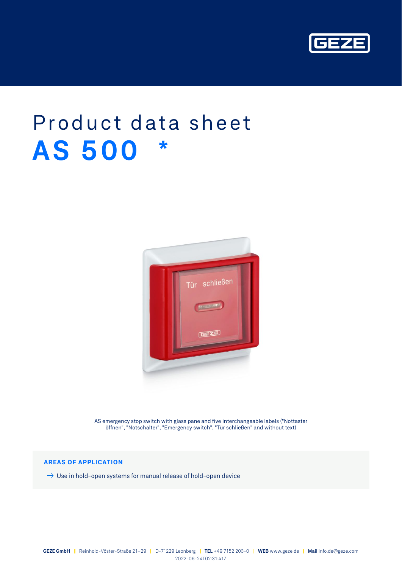

# Product data sheet **AS 500 \***



AS emergency stop switch with glass pane and five interchangeable labels ("Nottaster öffnen", "Notschalter", "Emergency switch", "Tür schließen" and without text)

## **AREAS OF APPLICATION**

 $\rightarrow$  Use in hold-open systems for manual release of hold-open device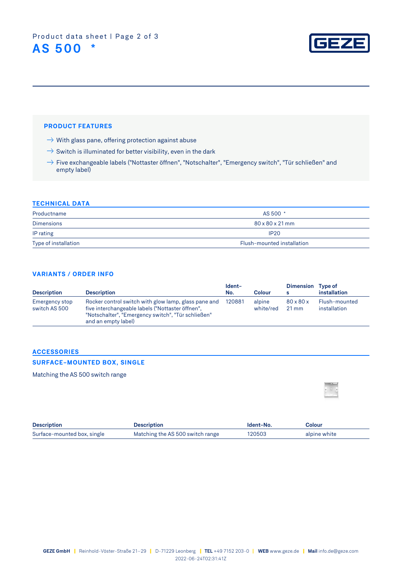

## **PRODUCT FEATURES**

- $\rightarrow$  With glass pane, offering protection against abuse
- $\Rightarrow$  Switch is illuminated for better visibility, even in the dark
- $\rightarrow$  Five exchangeable labels ("Nottaster öffnen", "Notschalter", "Emergency switch", "Tür schließen" and empty label)

#### **TECHNICAL DATA**

| Productname          | AS 500 *                    |
|----------------------|-----------------------------|
| <b>Dimensions</b>    | $80 \times 80 \times 21$ mm |
| IP rating            | <b>IP20</b>                 |
| Type of installation | Flush-mounted installation  |

### **VARIANTS / ORDER INFO**

| <b>Description</b>              | <b>Description</b>                                                                                                                                                                    | Ident-<br>No. | Colour              | <b>Dimension</b>                            | <b>Type of</b><br>installation |
|---------------------------------|---------------------------------------------------------------------------------------------------------------------------------------------------------------------------------------|---------------|---------------------|---------------------------------------------|--------------------------------|
| Emergency stop<br>switch AS 500 | Rocker control switch with glow lamp, glass pane and<br>five interchangeable labels ("Nottaster öffnen",<br>"Notschalter", "Emergency switch", "Tür schließen"<br>and an empty label) | 120881        | alpine<br>white/red | $80 \times 80 \times$<br>$21 \,\mathrm{mm}$ | Flush-mounted<br>installation  |

### **ACCESSORIES**

#### **SURFACE-MOUNTED BOX, SINGLE**

Matching the AS 500 switch range

| ۸ |  |
|---|--|
|   |  |
|   |  |

| <b>Description</b>          | <b>Description</b>               | Ident-No. | Colour       |
|-----------------------------|----------------------------------|-----------|--------------|
| Surface-mounted box, single | Matching the AS 500 switch range | 120503    | alpine white |